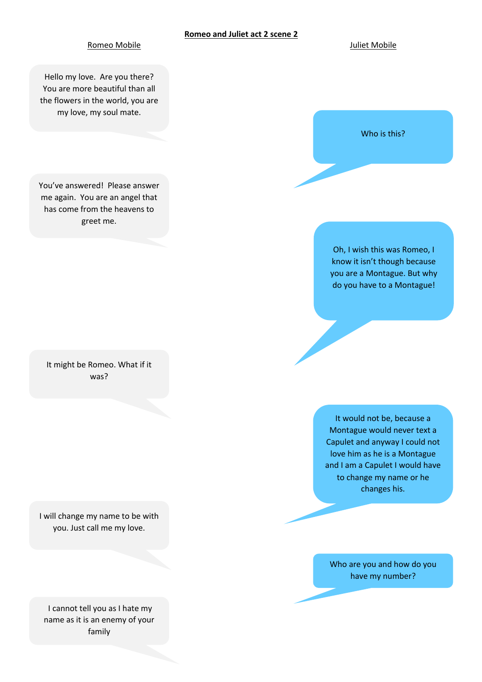## **Romeo and Juliet act 2 scene 2**

## Romeo Mobile **Australia European Australia European Australia European Australia European Australia European Au**

Hello my love. Are you there? You are more beautiful than all the flowers in the world, you are my love, my soul mate.

You've answered! Please answer me again. You are an angel that has come from the heavens to greet me.

It might be Romeo. What if it was?

I will change my name to be with you. Just call me my love.

I cannot tell you as I hate my name as it is an enemy of your family



Oh, I wish this was Romeo, I know it isn't though because you are a Montague. But why do you have to a Montague!

It would not be, because a Montague would never text a Capulet and anyway I could not love him as he is a Montague and I am a Capulet I would have to change my name or he changes his.

Who are you and how do you have my number?